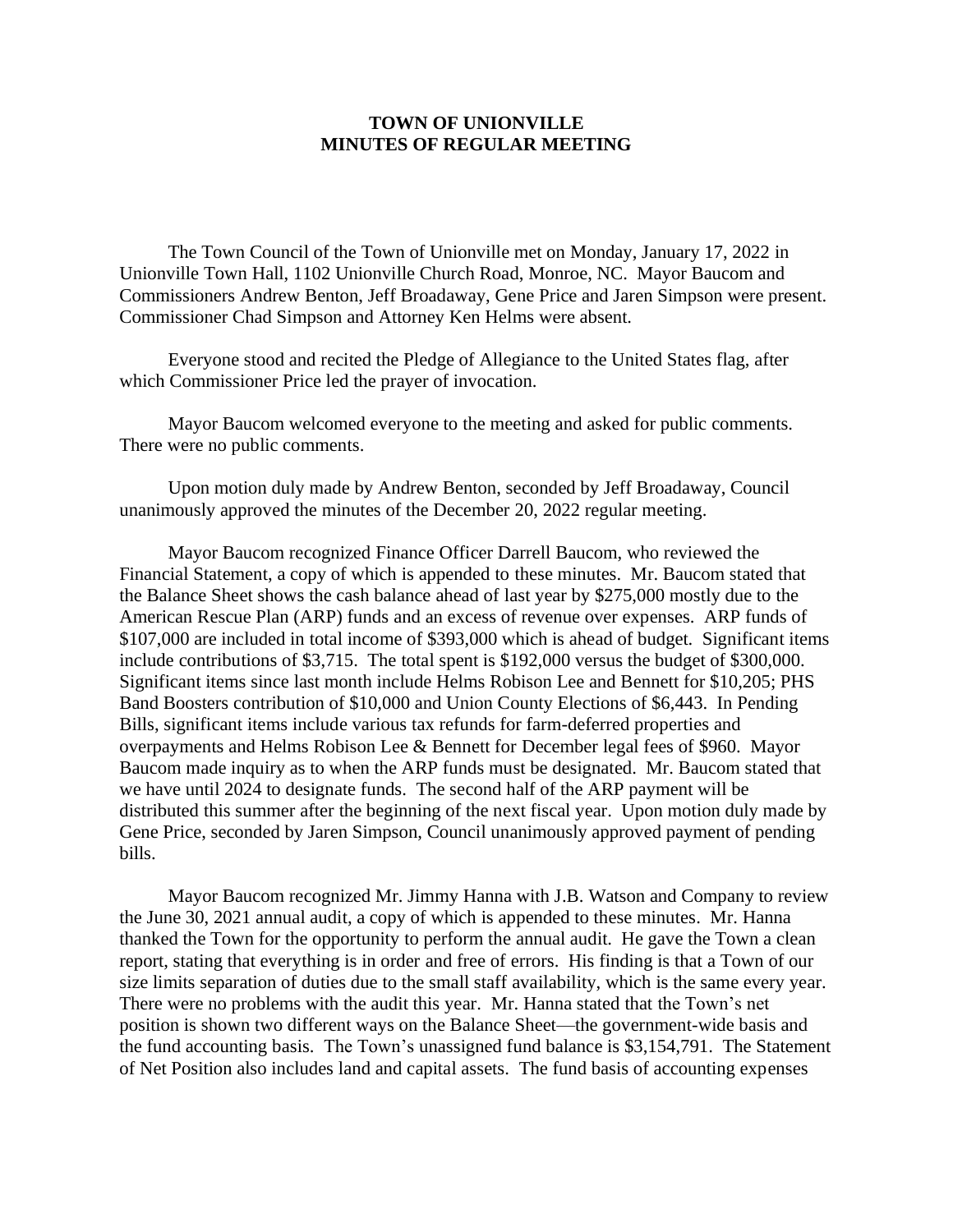## **TOWN OF UNIONVILLE MINUTES OF REGULAR MEETING**

The Town Council of the Town of Unionville met on Monday, January 17, 2022 in Unionville Town Hall, 1102 Unionville Church Road, Monroe, NC. Mayor Baucom and Commissioners Andrew Benton, Jeff Broadaway, Gene Price and Jaren Simpson were present. Commissioner Chad Simpson and Attorney Ken Helms were absent.

Everyone stood and recited the Pledge of Allegiance to the United States flag, after which Commissioner Price led the prayer of invocation.

Mayor Baucom welcomed everyone to the meeting and asked for public comments. There were no public comments.

Upon motion duly made by Andrew Benton, seconded by Jeff Broadaway, Council unanimously approved the minutes of the December 20, 2022 regular meeting.

Mayor Baucom recognized Finance Officer Darrell Baucom, who reviewed the Financial Statement, a copy of which is appended to these minutes. Mr. Baucom stated that the Balance Sheet shows the cash balance ahead of last year by \$275,000 mostly due to the American Rescue Plan (ARP) funds and an excess of revenue over expenses. ARP funds of \$107,000 are included in total income of \$393,000 which is ahead of budget. Significant items include contributions of \$3,715. The total spent is \$192,000 versus the budget of \$300,000. Significant items since last month include Helms Robison Lee and Bennett for \$10,205; PHS Band Boosters contribution of \$10,000 and Union County Elections of \$6,443. In Pending Bills, significant items include various tax refunds for farm-deferred properties and overpayments and Helms Robison Lee & Bennett for December legal fees of \$960. Mayor Baucom made inquiry as to when the ARP funds must be designated. Mr. Baucom stated that we have until 2024 to designate funds. The second half of the ARP payment will be distributed this summer after the beginning of the next fiscal year. Upon motion duly made by Gene Price, seconded by Jaren Simpson, Council unanimously approved payment of pending bills.

Mayor Baucom recognized Mr. Jimmy Hanna with J.B. Watson and Company to review the June 30, 2021 annual audit, a copy of which is appended to these minutes. Mr. Hanna thanked the Town for the opportunity to perform the annual audit. He gave the Town a clean report, stating that everything is in order and free of errors. His finding is that a Town of our size limits separation of duties due to the small staff availability, which is the same every year. There were no problems with the audit this year. Mr. Hanna stated that the Town's net position is shown two different ways on the Balance Sheet—the government-wide basis and the fund accounting basis. The Town's unassigned fund balance is \$3,154,791. The Statement of Net Position also includes land and capital assets. The fund basis of accounting expenses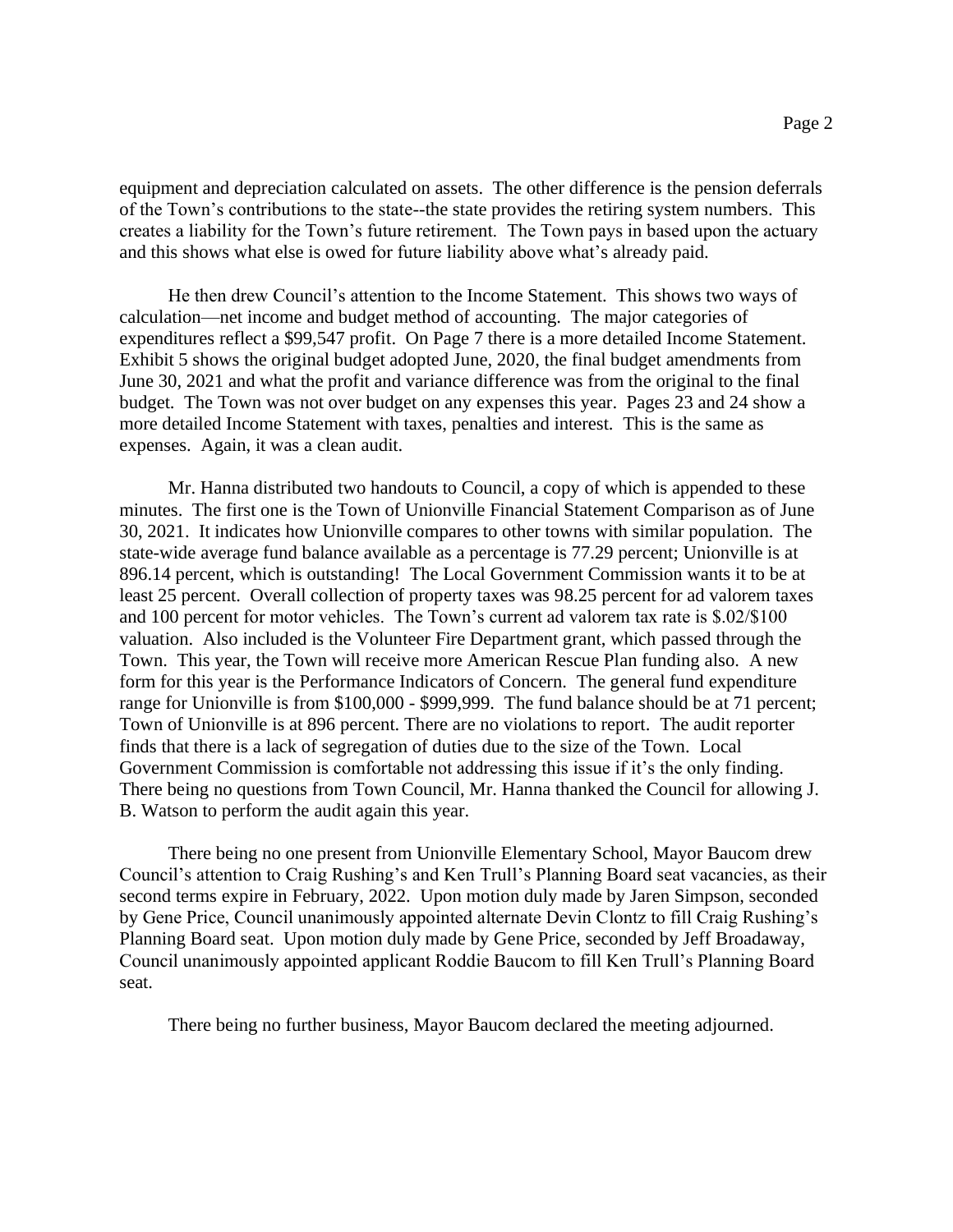equipment and depreciation calculated on assets. The other difference is the pension deferrals of the Town's contributions to the state--the state provides the retiring system numbers. This creates a liability for the Town's future retirement. The Town pays in based upon the actuary and this shows what else is owed for future liability above what's already paid.

He then drew Council's attention to the Income Statement. This shows two ways of calculation—net income and budget method of accounting. The major categories of expenditures reflect a \$99,547 profit. On Page 7 there is a more detailed Income Statement. Exhibit 5 shows the original budget adopted June, 2020, the final budget amendments from June 30, 2021 and what the profit and variance difference was from the original to the final budget. The Town was not over budget on any expenses this year. Pages 23 and 24 show a more detailed Income Statement with taxes, penalties and interest. This is the same as expenses. Again, it was a clean audit.

Mr. Hanna distributed two handouts to Council, a copy of which is appended to these minutes. The first one is the Town of Unionville Financial Statement Comparison as of June 30, 2021. It indicates how Unionville compares to other towns with similar population. The state-wide average fund balance available as a percentage is 77.29 percent; Unionville is at 896.14 percent, which is outstanding! The Local Government Commission wants it to be at least 25 percent. Overall collection of property taxes was 98.25 percent for ad valorem taxes and 100 percent for motor vehicles. The Town's current ad valorem tax rate is \$.02/\$100 valuation. Also included is the Volunteer Fire Department grant, which passed through the Town. This year, the Town will receive more American Rescue Plan funding also. A new form for this year is the Performance Indicators of Concern. The general fund expenditure range for Unionville is from \$100,000 - \$999,999. The fund balance should be at 71 percent; Town of Unionville is at 896 percent. There are no violations to report. The audit reporter finds that there is a lack of segregation of duties due to the size of the Town. Local Government Commission is comfortable not addressing this issue if it's the only finding. There being no questions from Town Council, Mr. Hanna thanked the Council for allowing J. B. Watson to perform the audit again this year.

There being no one present from Unionville Elementary School, Mayor Baucom drew Council's attention to Craig Rushing's and Ken Trull's Planning Board seat vacancies, as their second terms expire in February, 2022. Upon motion duly made by Jaren Simpson, seconded by Gene Price, Council unanimously appointed alternate Devin Clontz to fill Craig Rushing's Planning Board seat. Upon motion duly made by Gene Price, seconded by Jeff Broadaway, Council unanimously appointed applicant Roddie Baucom to fill Ken Trull's Planning Board seat.

There being no further business, Mayor Baucom declared the meeting adjourned.